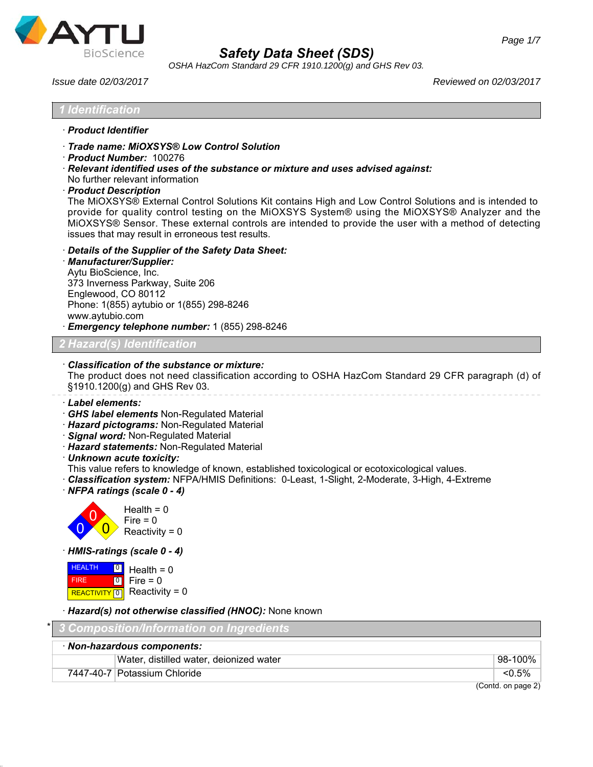

| <b>BioScience</b>                                                                                                                                                           |                                                                                                                                         | <b>Safety Data Sheet (SDS)</b><br>OSHA HazCom Standard 29 CFR 1910.1200(g) and GHS Rev 03.                                                                                                                                                                                                                                                                                                           |
|-----------------------------------------------------------------------------------------------------------------------------------------------------------------------------|-----------------------------------------------------------------------------------------------------------------------------------------|------------------------------------------------------------------------------------------------------------------------------------------------------------------------------------------------------------------------------------------------------------------------------------------------------------------------------------------------------------------------------------------------------|
| Issue date 02/03/2017                                                                                                                                                       |                                                                                                                                         | Reviewed on 02/03/2017                                                                                                                                                                                                                                                                                                                                                                               |
| <b>Identification</b>                                                                                                                                                       |                                                                                                                                         |                                                                                                                                                                                                                                                                                                                                                                                                      |
| · Product Identifier                                                                                                                                                        |                                                                                                                                         |                                                                                                                                                                                                                                                                                                                                                                                                      |
| · Product Number: 100276<br>No further relevant information<br>· Product Description                                                                                        | Trade name: MiOXSYS® Low Control Solution<br>issues that may result in erroneous test results.                                          | · Relevant identified uses of the substance or mixture and uses advised against:<br>The MiOXSYS® External Control Solutions Kit contains High and Low Control Solutions and is intended to<br>provide for quality control testing on the MiOXSYS System® using the MiOXSYS® Analyzer and the<br>MiOXSYS® Sensor. These external controls are intended to provide the user with a method of detecting |
| · Manufacturer/Supplier:<br>Aytu BioScience, Inc.<br>373 Inverness Parkway, Suite 206<br>Englewood, CO 80112<br>Phone: 1(855) aytubio or 1(855) 298-8246<br>www.aytubio.com | Details of the Supplier of the Safety Data Sheet:<br>Emergency telephone number: 1 (855) 298-8246                                       |                                                                                                                                                                                                                                                                                                                                                                                                      |
| ' Hazard(s) Identification                                                                                                                                                  |                                                                                                                                         |                                                                                                                                                                                                                                                                                                                                                                                                      |
| §1910.1200(g) and GHS Rev 03.                                                                                                                                               | Classification of the substance or mixture:                                                                                             | The product does not need classification according to OSHA HazCom Standard 29 CFR paragraph (d) of                                                                                                                                                                                                                                                                                                   |
| Label elements:<br>· Signal word: Non-Regulated Material<br>· Unknown acute toxicity:<br>· NFPA ratings (scale 0 - 4)                                                       | GHS label elements Non-Regulated Material<br>· Hazard pictograms: Non-Regulated Material<br>· Hazard statements: Non-Regulated Material | This value refers to knowledge of known, established toxicological or ecotoxicological values.<br>· Classification system: NFPA/HMIS Definitions: 0-Least, 1-Slight, 2-Moderate, 3-High, 4-Extreme                                                                                                                                                                                                   |
| Health = $0$<br>$Fire = 0$<br>Reactivity = $0$                                                                                                                              |                                                                                                                                         |                                                                                                                                                                                                                                                                                                                                                                                                      |
| · HMIS-ratings (scale 0 - 4)                                                                                                                                                |                                                                                                                                         |                                                                                                                                                                                                                                                                                                                                                                                                      |
| <b>HEALTH</b><br>$\boxed{0}$<br>Health = $0$<br>$Fire = 0$<br><b>FIRE</b><br> 0 <br>Reactivity = $0$<br><b>REACTIVITY</b> 0                                                 |                                                                                                                                         |                                                                                                                                                                                                                                                                                                                                                                                                      |
|                                                                                                                                                                             | · Hazard(s) not otherwise classified (HNOC): None known                                                                                 |                                                                                                                                                                                                                                                                                                                                                                                                      |
|                                                                                                                                                                             | <b>Composition/Information on Ingredients</b>                                                                                           |                                                                                                                                                                                                                                                                                                                                                                                                      |
| · Non-hazardous components:                                                                                                                                                 |                                                                                                                                         |                                                                                                                                                                                                                                                                                                                                                                                                      |
| 7447-40-7 Potassium Chloride                                                                                                                                                | Water, distilled water, deionized water                                                                                                 | 98-100%<br>$< 0.5\%$                                                                                                                                                                                                                                                                                                                                                                                 |
|                                                                                                                                                                             |                                                                                                                                         | (Contd. on page 2)                                                                                                                                                                                                                                                                                                                                                                                   |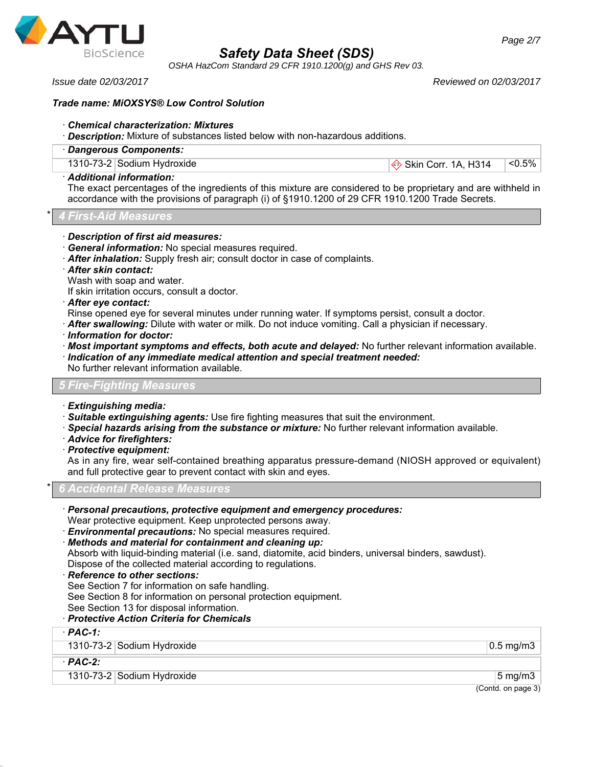

*OSHA HazCom Standard 29 CFR 1910.1200(g) and GHS Rev 03.*

*Issue date 02/03/2017 Reviewed on 02/03/2017*

# *Trade name: MiOXSYS® Low Control Solution*

# · *Chemical characterization: Mixtures*

- · *Description:* Mixture of substances listed below with non-hazardous additions.
- · *Dangerous Components:*

1310-73-2 Sodium Hydroxide  $\textcircled{\textdegree}}$  Skin Corr. 1A, H314 <0.5%

### · *Additional information:*

The exact percentages of the ingredients of this mixture are considered to be proprietary and are withheld in accordance with the provisions of paragraph (i) of §1910.1200 of 29 CFR 1910.1200 Trade Secrets.

\* *4 First-Aid Measures*

- · *Description of first aid measures:*
- · *General information:* No special measures required.
- · *After inhalation:* Supply fresh air; consult doctor in case of complaints.
- · *After skin contact:*
- Wash with soap and water.
- If skin irritation occurs, consult a doctor.
- · *After eye contact:*
- Rinse opened eye for several minutes under running water. If symptoms persist, consult a doctor.
- · *After swallowing:* Dilute with water or milk. Do not induce vomiting. Call a physician if necessary.
- · *Information for doctor:*
- · *Most important symptoms and effects, both acute and delayed:* No further relevant information available.
- · *Indication of any immediate medical attention and special treatment needed:* No further relevant information available.

# *5 Fire-Fighting Measures*

- · *Extinguishing media:*
- · *Suitable extinguishing agents:* Use fire fighting measures that suit the environment.
- · *Special hazards arising from the substance or mixture:* No further relevant information available.
- · *Advice for firefighters:*
- · *Protective equipment:*

As in any fire, wear self-contained breathing apparatus pressure-demand (NIOSH approved or equivalent) and full protective gear to prevent contact with skin and eyes.

\* *6 Accidental Release Measures*

- · *Personal precautions, protective equipment and emergency procedures:*
- Wear protective equipment. Keep unprotected persons away.
- · *Environmental precautions:* No special measures required.
- · *Methods and material for containment and cleaning up:*

Absorb with liquid-binding material (i.e. sand, diatomite, acid binders, universal binders, sawdust). Dispose of the collected material according to regulations.

### · *Reference to other sections:*

See Section 7 for information on safe handling.

See Section 8 for information on personal protection equipment.

#### See Section 13 for disposal information. · *Protective Action Criteria for Chemicals*

# · *PAC-1:* 1310-73-2 Sodium Hydroxide 0.5 mg/m3 · *PAC-2:* 1310-73-2 Sodium Hydroxide 5 mg/m3

(Contd. on page 3)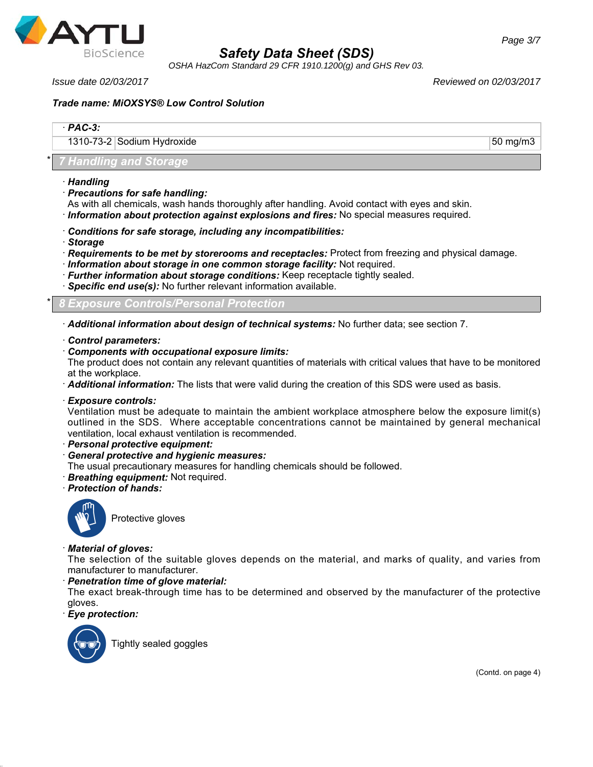

*OSHA HazCom Standard 29 CFR 1910.1200(g) and GHS Rev 03.*

*Issue date 02/03/2017 Reviewed on 02/03/2017*

# *Trade name: MiOXSYS® Low Control Solution*

| $PAC-3$ :                  |                 |
|----------------------------|-----------------|
| 1310-73-2 Sodium Hydroxide | $+50$ mg/m3 $+$ |

# \* *7 Handling and Storage*

- · *Handling*
- · *Precautions for safe handling:*
- As with all chemicals, wash hands thoroughly after handling. Avoid contact with eyes and skin.
- · *Information about protection against explosions and fires:* No special measures required.
- · *Conditions for safe storage, including any incompatibilities:*
- · *Storage*
- · *Requirements to be met by storerooms and receptacles:* Protect from freezing and physical damage.
- · *Information about storage in one common storage facility:* Not required.
- · *Further information about storage conditions:* Keep receptacle tightly sealed.
- · *Specific end use(s):* No further relevant information available.

\* *8 Exposure Controls/Personal Protection*

- · *Additional information about design of technical systems:* No further data; see section 7.
- · *Control parameters:*
- · *Components with occupational exposure limits:*

The product does not contain any relevant quantities of materials with critical values that have to be monitored at the workplace.

- · *Additional information:* The lists that were valid during the creation of this SDS were used as basis.
- · *Exposure controls:*

Ventilation must be adequate to maintain the ambient workplace atmosphere below the exposure limit(s) outlined in the SDS. Where acceptable concentrations cannot be maintained by general mechanical ventilation, local exhaust ventilation is recommended.

- · *Personal protective equipment:*
- · *General protective and hygienic measures:*
- The usual precautionary measures for handling chemicals should be followed.
- · *Breathing equipment:* Not required.
- · *Protection of hands:*



Protective gloves

### · *Material of gloves:*

The selection of the suitable gloves depends on the material, and marks of quality, and varies from manufacturer to manufacturer.

· *Penetration time of glove material:*

The exact break-through time has to be determined and observed by the manufacturer of the protective gloves.

· *Eye protection:*



Tightly sealed goggles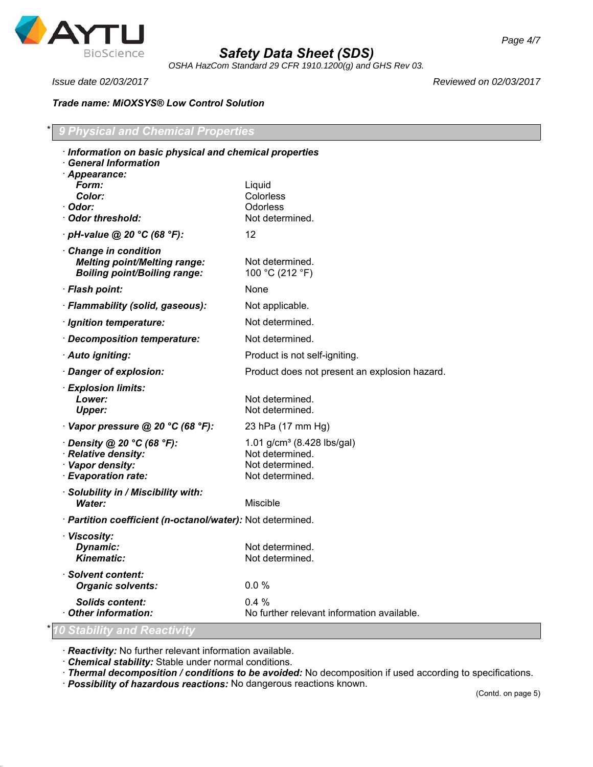

*OSHA HazCom Standard 29 CFR 1910.1200(g) and GHS Rev 03.*

*Issue date 02/03/2017 Reviewed on 02/03/2017*

*Trade name: MiOXSYS® Low Control Solution*

| Information on basic physical and chemical properties<br><b>General Information</b>                |                                                                                                 |
|----------------------------------------------------------------------------------------------------|-------------------------------------------------------------------------------------------------|
| · Appearance:<br>Form:<br>Color:<br>· Odor:<br>Odor threshold:                                     | Liquid<br>Colorless<br>Odorless<br>Not determined.                                              |
| $\cdot$ pH-value @ 20 °C (68 °F):                                                                  | 12                                                                                              |
| Change in condition<br><b>Melting point/Melting range:</b><br><b>Boiling point/Boiling range:</b>  | Not determined.<br>100 °C (212 °F)                                                              |
| · Flash point:                                                                                     | None                                                                                            |
| · Flammability (solid, gaseous):                                                                   | Not applicable.                                                                                 |
| · Ignition temperature:                                                                            | Not determined.                                                                                 |
| · Decomposition temperature:                                                                       | Not determined.                                                                                 |
| · Auto igniting:                                                                                   | Product is not self-igniting.                                                                   |
| · Danger of explosion:                                                                             | Product does not present an explosion hazard.                                                   |
| · Explosion limits:<br>Lower:<br><b>Upper:</b>                                                     | Not determined.<br>Not determined.                                                              |
| $\cdot$ Vapor pressure @ 20 °C (68 °F):                                                            | 23 hPa (17 mm Hg)                                                                               |
| $\cdot$ Density @ 20 °C (68 °F):<br>· Relative density:<br>· Vapor density:<br>· Evaporation rate: | 1.01 g/cm <sup>3</sup> (8.428 lbs/gal)<br>Not determined.<br>Not determined.<br>Not determined. |
| · Solubility in / Miscibility with:<br>Water:                                                      | Miscible                                                                                        |
| · Partition coefficient (n-octanol/water): Not determined.                                         |                                                                                                 |
| · Viscosity:<br>Dynamic:<br>Kinematic:                                                             | Not determined.<br>Not determined                                                               |
| <b>Solvent content:</b><br><b>Organic solvents:</b>                                                | 0.0%                                                                                            |
| <b>Solids content:</b><br><b>Other information:</b>                                                | 0.4%<br>No further relevant information available.                                              |

· *Reactivity:* No further relevant information available.

· *Chemical stability:* Stable under normal conditions.

· *Thermal decomposition / conditions to be avoided:* No decomposition if used according to specifications.

· *Possibility of hazardous reactions:* No dangerous reactions known.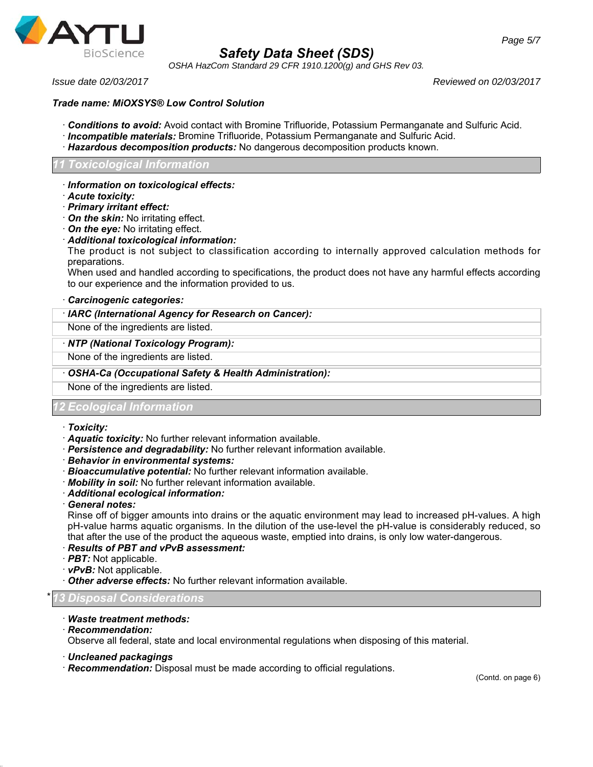

*OSHA HazCom Standard 29 CFR 1910.1200(g) and GHS Rev 03.*

*Issue date 02/03/2017 Reviewed on 02/03/2017*

# *Trade name: MiOXSYS® Low Control Solution*

- · *Conditions to avoid:* Avoid contact with Bromine Trifluoride, Potassium Permanganate and Sulfuric Acid.
- · *Incompatible materials:* Bromine Trifluoride, Potassium Permanganate and Sulfuric Acid.
- · *Hazardous decomposition products:* No dangerous decomposition products known.

#### *11 Toxicological Information*

- · *Information on toxicological effects:*
- · *Acute toxicity:*
- · *Primary irritant effect:*
- · *On the skin:* No irritating effect.
- · *On the eye:* No irritating effect.
- · *Additional toxicological information:*

The product is not subject to classification according to internally approved calculation methods for preparations.

When used and handled according to specifications, the product does not have any harmful effects according to our experience and the information provided to us.

#### · *Carcinogenic categories:*

#### · *IARC (International Agency for Research on Cancer):*

None of the ingredients are listed.

#### · *NTP (National Toxicology Program):*

None of the ingredients are listed.

· *OSHA-Ca (Occupational Safety & Health Administration):*

None of the ingredients are listed.

### *12 Ecological Information*

#### · *Toxicity:*

- · *Aquatic toxicity:* No further relevant information available.
- · *Persistence and degradability:* No further relevant information available.
- · *Behavior in environmental systems:*
- · *Bioaccumulative potential:* No further relevant information available.
- · *Mobility in soil:* No further relevant information available.
- · *Additional ecological information:*
- · *General notes:*

Rinse off of bigger amounts into drains or the aquatic environment may lead to increased pH-values. A high pH-value harms aquatic organisms. In the dilution of the use-level the pH-value is considerably reduced, so that after the use of the product the aqueous waste, emptied into drains, is only low water-dangerous.

- · *Results of PBT and vPvB assessment:*
- · *PBT:* Not applicable.
- · *vPvB:* Not applicable.
- · *Other adverse effects:* No further relevant information available.

\* *13 Disposal Considerations*

- · *Waste treatment methods:*
- · *Recommendation:*

Observe all federal, state and local environmental regulations when disposing of this material.

- · *Uncleaned packagings*
- · *Recommendation:* Disposal must be made according to official regulations.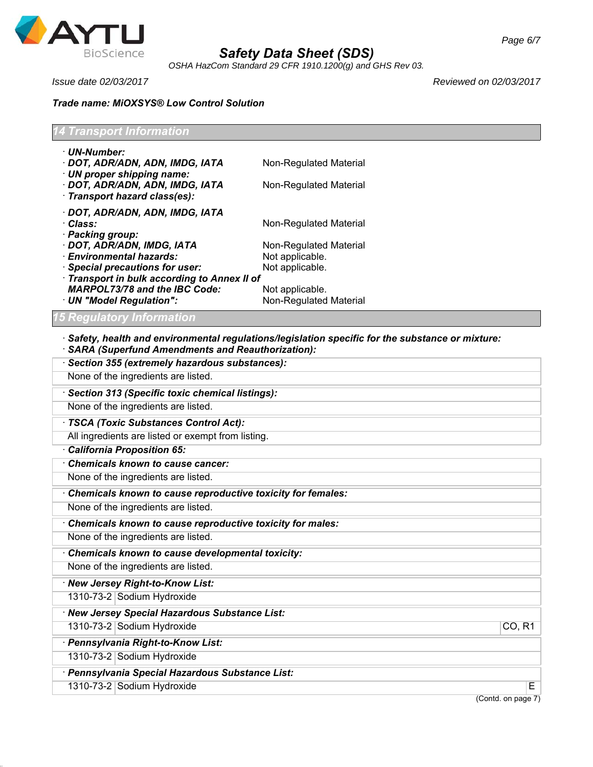

*OSHA HazCom Standard 29 CFR 1910.1200(g) and GHS Rev 03.*

*Issue date 02/03/2017 Reviewed on 02/03/2017*

# *Trade name: MiOXSYS® Low Control Solution*

| <b>14 Transport Information</b>                                                                                        |                                                                                                         |  |  |
|------------------------------------------------------------------------------------------------------------------------|---------------------------------------------------------------------------------------------------------|--|--|
| · UN-Number:<br>· DOT, ADR/ADN, ADN, IMDG, IATA<br>$\cdot$ UN proper shipping name:<br>· DOT, ADR/ADN, ADN, IMDG, IATA | Non-Regulated Material<br>Non-Regulated Material                                                        |  |  |
| · Transport hazard class(es):                                                                                          |                                                                                                         |  |  |
| · DOT, ADR/ADN, ADN, IMDG, IATA<br>· Class:<br>· Packing group:                                                        | Non-Regulated Material                                                                                  |  |  |
| · DOT, ADR/ADN, IMDG, IATA                                                                                             | Non-Regulated Material                                                                                  |  |  |
| · Environmental hazards:                                                                                               | Not applicable.                                                                                         |  |  |
| · Special precautions for user:                                                                                        | Not applicable.                                                                                         |  |  |
| Transport in bulk according to Annex II of                                                                             |                                                                                                         |  |  |
| <b>MARPOL73/78 and the IBC Code:</b><br>· UN "Model Regulation":                                                       | Not applicable.<br>Non-Regulated Material                                                               |  |  |
| 15 Regulatory Information                                                                                              |                                                                                                         |  |  |
| · SARA (Superfund Amendments and Reauthorization):                                                                     | $\cdot$ Safety, health and environmental regulations/legislation specific for the substance or mixture: |  |  |
| · Section 355 (extremely hazardous substances):                                                                        |                                                                                                         |  |  |
| None of the ingredients are listed.                                                                                    |                                                                                                         |  |  |

· *Section 313 (Specific toxic chemical listings):* None of the ingredients are listed.

· *TSCA (Toxic Substances Control Act):*

All ingredients are listed or exempt from listing.

· *California Proposition 65:*

· *Chemicals known to cause cancer:*

None of the ingredients are listed.

· *Chemicals known to cause reproductive toxicity for females:*

None of the ingredients are listed.

· *Chemicals known to cause reproductive toxicity for males:*

None of the ingredients are listed.

· *Chemicals known to cause developmental toxicity:*

None of the ingredients are listed.

· *New Jersey Right-to-Know List:* 1310-73-2 Sodium Hydroxide

· *New Jersey Special Hazardous Substance List:*

1310-73-2 Sodium Hydroxide CO, R1

· *Pennsylvania Right-to-Know List:*

1310-73-2 Sodium Hydroxide

· *Pennsylvania Special Hazardous Substance List:*

1310-73-2 Sodium Hydroxide E

(Contd. on page 7)